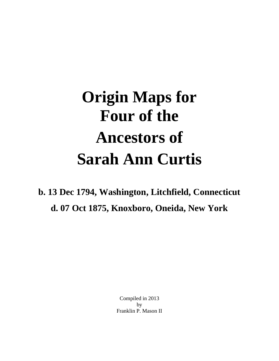## **Origin Maps for Four of the Ancestors of Sarah Ann Curtis**

**b. 13 Dec 1794, Washington, Litchfield, Connecticut d. 07 Oct 1875, Knoxboro, Oneida, New York**

> Compiled in 2013 by Franklin P. Mason II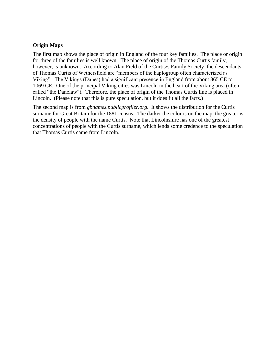## **Origin Maps**

The first map shows the place of origin in England of the four key families. The place or origin for three of the families is well known. The place of origin of the Thomas Curtis family, however, is unknown. According to Alan Field of the Curtis/s Family Society, the descendants of Thomas Curtis of Wethersfield are "members of the haplogroup often characterized as Viking". The Vikings (Danes) had a significant presence in England from about 865 CE to 1069 CE. One of the principal Viking cities was Lincoln in the heart of the Viking area (often called "the Danelaw"). Therefore, the place of origin of the Thomas Curtis line is placed in Lincoln. (Please note that this is pure speculation, but it does fit all the facts.)

The second map is from *gbnames.publicprofiler.org*. It shows the distribution for the Curtis surname for Great Britain for the 1881 census. The darker the color is on the map, the greater is the density of people with the name Curtis. Note that Lincolnshire has one of the greatest concentrations of people with the Curtis surname, which lends some credence to the speculation that Thomas Curtis came from Lincoln.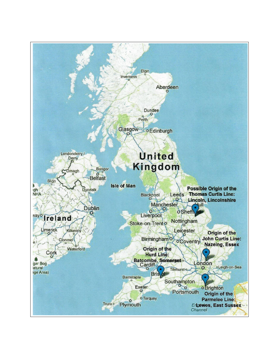